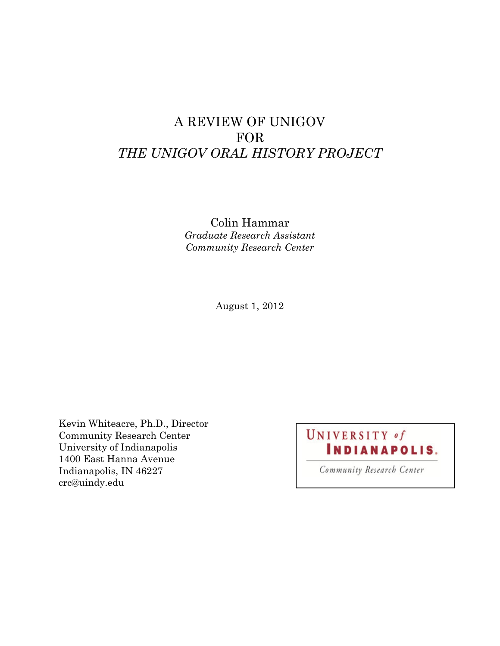## A REVIEW OF UNIGOV FOR *THE UNIGOV ORAL HISTORY PROJECT*

Colin Hammar *Graduate Research Assistant Community Research Center*

August 1, 2012

Kevin Whiteacre, Ph.D., Director Community Research Center University of Indianapolis 1400 East Hanna Avenue Indianapolis, IN 46227 crc@uindy.edu

# UNIVERSITY of **INDIANAPOLIS.**

Community Research Center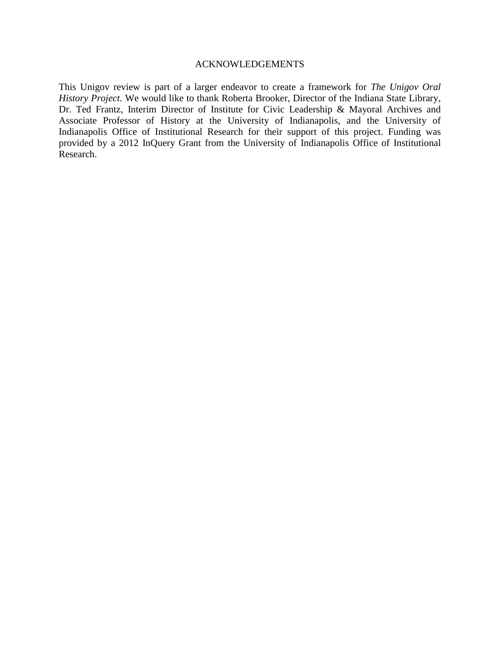#### ACKNOWLEDGEMENTS

This Unigov review is part of a larger endeavor to create a framework for *The Unigov Oral History Project*. We would like to thank Roberta Brooker, Director of the Indiana State Library, Dr. Ted Frantz, Interim Director of Institute for Civic Leadership & Mayoral Archives and Associate Professor of History at the University of Indianapolis, and the University of Indianapolis Office of Institutional Research for their support of this project. Funding was provided by a 2012 InQuery Grant from the University of Indianapolis Office of Institutional Research.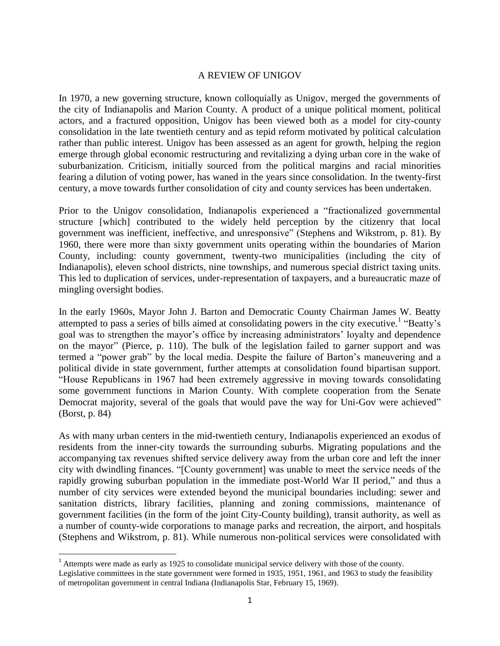### A REVIEW OF UNIGOV

In 1970, a new governing structure, known colloquially as Unigov, merged the governments of the city of Indianapolis and Marion County. A product of a unique political moment, political actors, and a fractured opposition, Unigov has been viewed both as a model for city-county consolidation in the late twentieth century and as tepid reform motivated by political calculation rather than public interest. Unigov has been assessed as an agent for growth, helping the region emerge through global economic restructuring and revitalizing a dying urban core in the wake of suburbanization. Criticism, initially sourced from the political margins and racial minorities fearing a dilution of voting power, has waned in the years since consolidation. In the twenty-first century, a move towards further consolidation of city and county services has been undertaken.

Prior to the Unigov consolidation, Indianapolis experienced a "fractionalized governmental structure [which] contributed to the widely held perception by the citizenry that local government was inefficient, ineffective, and unresponsive" (Stephens and Wikstrom, p. 81). By 1960, there were more than sixty government units operating within the boundaries of Marion County, including: county government, twenty-two municipalities (including the city of Indianapolis), eleven school districts, nine townships, and numerous special district taxing units. This led to duplication of services, under-representation of taxpayers, and a bureaucratic maze of mingling oversight bodies.

In the early 1960s, Mayor John J. Barton and Democratic County Chairman James W. Beatty attempted to pass a series of bills aimed at consolidating powers in the city executive.<sup>1</sup> "Beatty's goal was to strengthen the mayor's office by increasing administrators' loyalty and dependence on the mayor" (Pierce, p. 110). The bulk of the legislation failed to garner support and was termed a "power grab" by the local media. Despite the failure of Barton's maneuvering and a political divide in state government, further attempts at consolidation found bipartisan support. "House Republicans in 1967 had been extremely aggressive in moving towards consolidating some government functions in Marion County. With complete cooperation from the Senate Democrat majority, several of the goals that would pave the way for Uni-Gov were achieved" (Borst, p. 84)

As with many urban centers in the mid-twentieth century, Indianapolis experienced an exodus of residents from the inner-city towards the surrounding suburbs. Migrating populations and the accompanying tax revenues shifted service delivery away from the urban core and left the inner city with dwindling finances. "[County government] was unable to meet the service needs of the rapidly growing suburban population in the immediate post-World War II period," and thus a number of city services were extended beyond the municipal boundaries including: sewer and sanitation districts, library facilities, planning and zoning commissions, maintenance of government facilities (in the form of the joint City-County building), transit authority, as well as a number of county-wide corporations to manage parks and recreation, the airport, and hospitals (Stephens and Wikstrom, p. 81). While numerous non-political services were consolidated with

 $\overline{\phantom{a}}$ 

<sup>&</sup>lt;sup>1</sup> Attempts were made as early as 1925 to consolidate municipal service delivery with those of the county. Legislative committees in the state government were formed in 1935, 1951, 1961, and 1963 to study the feasibility of metropolitan government in central Indiana (Indianapolis Star, February 15, 1969).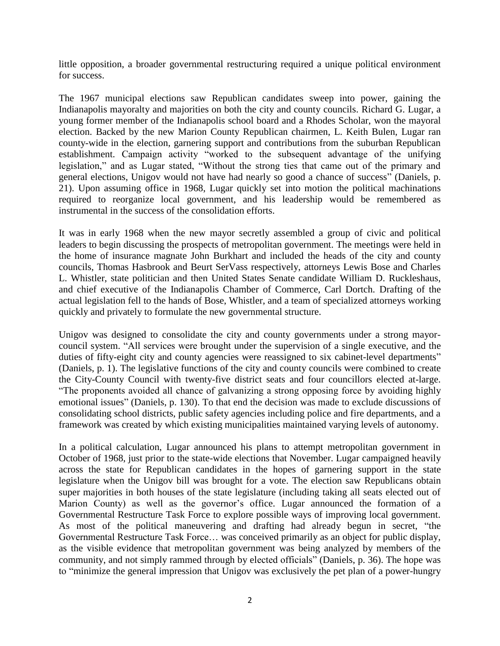little opposition, a broader governmental restructuring required a unique political environment for success.

The 1967 municipal elections saw Republican candidates sweep into power, gaining the Indianapolis mayoralty and majorities on both the city and county councils. Richard G. Lugar, a young former member of the Indianapolis school board and a Rhodes Scholar, won the mayoral election. Backed by the new Marion County Republican chairmen, L. Keith Bulen, Lugar ran county-wide in the election, garnering support and contributions from the suburban Republican establishment. Campaign activity "worked to the subsequent advantage of the unifying legislation," and as Lugar stated, "Without the strong ties that came out of the primary and general elections, Unigov would not have had nearly so good a chance of success" (Daniels, p. 21). Upon assuming office in 1968, Lugar quickly set into motion the political machinations required to reorganize local government, and his leadership would be remembered as instrumental in the success of the consolidation efforts.

It was in early 1968 when the new mayor secretly assembled a group of civic and political leaders to begin discussing the prospects of metropolitan government. The meetings were held in the home of insurance magnate John Burkhart and included the heads of the city and county councils, Thomas Hasbrook and Beurt SerVass respectively, attorneys Lewis Bose and Charles L. Whistler, state politician and then United States Senate candidate William D. Ruckleshaus, and chief executive of the Indianapolis Chamber of Commerce, Carl Dortch. Drafting of the actual legislation fell to the hands of Bose, Whistler, and a team of specialized attorneys working quickly and privately to formulate the new governmental structure.

Unigov was designed to consolidate the city and county governments under a strong mayorcouncil system. "All services were brought under the supervision of a single executive, and the duties of fifty-eight city and county agencies were reassigned to six cabinet-level departments" (Daniels, p. 1). The legislative functions of the city and county councils were combined to create the City-County Council with twenty-five district seats and four councillors elected at-large. "The proponents avoided all chance of galvanizing a strong opposing force by avoiding highly emotional issues" (Daniels, p. 130). To that end the decision was made to exclude discussions of consolidating school districts, public safety agencies including police and fire departments, and a framework was created by which existing municipalities maintained varying levels of autonomy.

In a political calculation, Lugar announced his plans to attempt metropolitan government in October of 1968, just prior to the state-wide elections that November. Lugar campaigned heavily across the state for Republican candidates in the hopes of garnering support in the state legislature when the Unigov bill was brought for a vote. The election saw Republicans obtain super majorities in both houses of the state legislature (including taking all seats elected out of Marion County) as well as the governor's office. Lugar announced the formation of a Governmental Restructure Task Force to explore possible ways of improving local government. As most of the political maneuvering and drafting had already begun in secret, "the Governmental Restructure Task Force… was conceived primarily as an object for public display, as the visible evidence that metropolitan government was being analyzed by members of the community, and not simply rammed through by elected officials" (Daniels, p. 36). The hope was to "minimize the general impression that Unigov was exclusively the pet plan of a power-hungry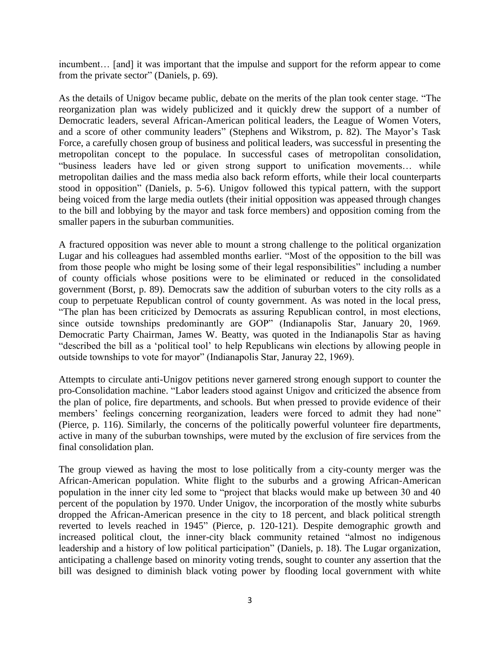incumbent… [and] it was important that the impulse and support for the reform appear to come from the private sector" (Daniels, p. 69).

As the details of Unigov became public, debate on the merits of the plan took center stage. "The reorganization plan was widely publicized and it quickly drew the support of a number of Democratic leaders, several African-American political leaders, the League of Women Voters, and a score of other community leaders" (Stephens and Wikstrom, p. 82). The Mayor's Task Force, a carefully chosen group of business and political leaders, was successful in presenting the metropolitan concept to the populace. In successful cases of metropolitan consolidation, "business leaders have led or given strong support to unification movements… while metropolitan dailies and the mass media also back reform efforts, while their local counterparts stood in opposition" (Daniels, p. 5-6). Unigov followed this typical pattern, with the support being voiced from the large media outlets (their initial opposition was appeased through changes to the bill and lobbying by the mayor and task force members) and opposition coming from the smaller papers in the suburban communities.

A fractured opposition was never able to mount a strong challenge to the political organization Lugar and his colleagues had assembled months earlier. "Most of the opposition to the bill was from those people who might be losing some of their legal responsibilities" including a number of county officials whose positions were to be eliminated or reduced in the consolidated government (Borst, p. 89). Democrats saw the addition of suburban voters to the city rolls as a coup to perpetuate Republican control of county government. As was noted in the local press, "The plan has been criticized by Democrats as assuring Republican control, in most elections, since outside townships predominantly are GOP" (Indianapolis Star, January 20, 1969. Democratic Party Chairman, James W. Beatty, was quoted in the Indianapolis Star as having "described the bill as a 'political tool' to help Republicans win elections by allowing people in outside townships to vote for mayor" (Indianapolis Star, Januray 22, 1969).

Attempts to circulate anti-Unigov petitions never garnered strong enough support to counter the pro-Consolidation machine. "Labor leaders stood against Unigov and criticized the absence from the plan of police, fire departments, and schools. But when pressed to provide evidence of their members' feelings concerning reorganization, leaders were forced to admit they had none" (Pierce, p. 116). Similarly, the concerns of the politically powerful volunteer fire departments, active in many of the suburban townships, were muted by the exclusion of fire services from the final consolidation plan.

The group viewed as having the most to lose politically from a city-county merger was the African-American population. White flight to the suburbs and a growing African-American population in the inner city led some to "project that blacks would make up between 30 and 40 percent of the population by 1970. Under Unigov, the incorporation of the mostly white suburbs dropped the African-American presence in the city to 18 percent, and black political strength reverted to levels reached in 1945" (Pierce, p. 120-121). Despite demographic growth and increased political clout, the inner-city black community retained "almost no indigenous leadership and a history of low political participation" (Daniels, p. 18). The Lugar organization, anticipating a challenge based on minority voting trends, sought to counter any assertion that the bill was designed to diminish black voting power by flooding local government with white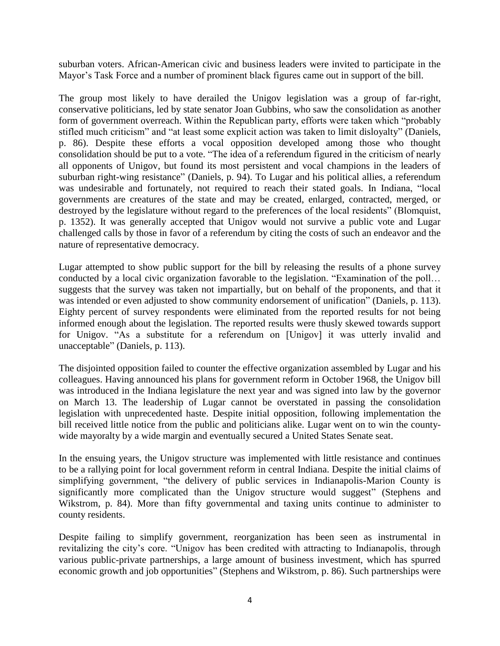suburban voters. African-American civic and business leaders were invited to participate in the Mayor's Task Force and a number of prominent black figures came out in support of the bill.

The group most likely to have derailed the Unigov legislation was a group of far-right, conservative politicians, led by state senator Joan Gubbins, who saw the consolidation as another form of government overreach. Within the Republican party, efforts were taken which "probably stifled much criticism" and "at least some explicit action was taken to limit disloyalty" (Daniels, p. 86). Despite these efforts a vocal opposition developed among those who thought consolidation should be put to a vote. "The idea of a referendum figured in the criticism of nearly all opponents of Unigov, but found its most persistent and vocal champions in the leaders of suburban right-wing resistance" (Daniels, p. 94). To Lugar and his political allies, a referendum was undesirable and fortunately, not required to reach their stated goals. In Indiana, "local governments are creatures of the state and may be created, enlarged, contracted, merged, or destroyed by the legislature without regard to the preferences of the local residents" (Blomquist, p. 1352). It was generally accepted that Unigov would not survive a public vote and Lugar challenged calls by those in favor of a referendum by citing the costs of such an endeavor and the nature of representative democracy.

Lugar attempted to show public support for the bill by releasing the results of a phone survey conducted by a local civic organization favorable to the legislation. "Examination of the poll… suggests that the survey was taken not impartially, but on behalf of the proponents, and that it was intended or even adjusted to show community endorsement of unification" (Daniels, p. 113). Eighty percent of survey respondents were eliminated from the reported results for not being informed enough about the legislation. The reported results were thusly skewed towards support for Unigov. "As a substitute for a referendum on [Unigov] it was utterly invalid and unacceptable" (Daniels, p. 113).

The disjointed opposition failed to counter the effective organization assembled by Lugar and his colleagues. Having announced his plans for government reform in October 1968, the Unigov bill was introduced in the Indiana legislature the next year and was signed into law by the governor on March 13. The leadership of Lugar cannot be overstated in passing the consolidation legislation with unprecedented haste. Despite initial opposition, following implementation the bill received little notice from the public and politicians alike. Lugar went on to win the countywide mayoralty by a wide margin and eventually secured a United States Senate seat.

In the ensuing years, the Unigov structure was implemented with little resistance and continues to be a rallying point for local government reform in central Indiana. Despite the initial claims of simplifying government, "the delivery of public services in Indianapolis-Marion County is significantly more complicated than the Unigov structure would suggest" (Stephens and Wikstrom, p. 84). More than fifty governmental and taxing units continue to administer to county residents.

Despite failing to simplify government, reorganization has been seen as instrumental in revitalizing the city's core. "Unigov has been credited with attracting to Indianapolis, through various public-private partnerships, a large amount of business investment, which has spurred economic growth and job opportunities" (Stephens and Wikstrom, p. 86). Such partnerships were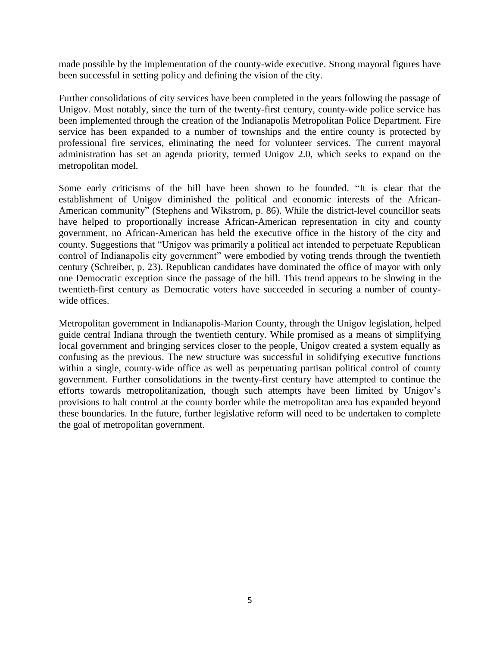made possible by the implementation of the county-wide executive. Strong mayoral figures have been successful in setting policy and defining the vision of the city.

Further consolidations of city services have been completed in the years following the passage of Unigov. Most notably, since the turn of the twenty-first century, county-wide police service has been implemented through the creation of the Indianapolis Metropolitan Police Department. Fire service has been expanded to a number of townships and the entire county is protected by professional fire services, eliminating the need for volunteer services. The current mayoral administration has set an agenda priority, termed Unigov 2.0, which seeks to expand on the metropolitan model.

Some early criticisms of the bill have been shown to be founded. "It is clear that the establishment of Unigov diminished the political and economic interests of the African-American community" (Stephens and Wikstrom, p. 86). While the district-level councillor seats have helped to proportionally increase African-American representation in city and county government, no African-American has held the executive office in the history of the city and county. Suggestions that "Unigov was primarily a political act intended to perpetuate Republican control of Indianapolis city government" were embodied by voting trends through the twentieth century (Schreiber, p. 23). Republican candidates have dominated the office of mayor with only one Democratic exception since the passage of the bill. This trend appears to be slowing in the twentieth-first century as Democratic voters have succeeded in securing a number of countywide offices.

Metropolitan government in Indianapolis-Marion County, through the Unigov legislation, helped guide central Indiana through the twentieth century. While promised as a means of simplifying local government and bringing services closer to the people, Unigov created a system equally as confusing as the previous. The new structure was successful in solidifying executive functions within a single, county-wide office as well as perpetuating partisan political control of county government. Further consolidations in the twenty-first century have attempted to continue the efforts towards metropolitanization, though such attempts have been limited by Unigov's provisions to halt control at the county border while the metropolitan area has expanded beyond these boundaries. In the future, further legislative reform will need to be undertaken to complete the goal of metropolitan government.